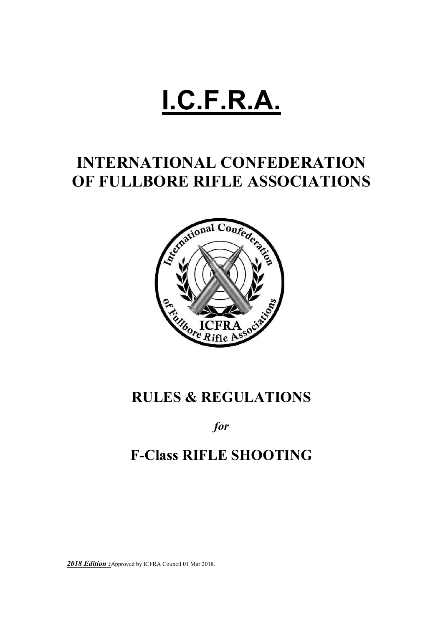# **I.C.F.R.A.**

# **INTERNATIONAL CONFEDERATION OF FULLBORE RIFLE ASSOCIATIONS**



# **RULES & REGULATIONS**

# *for*

# **F-Class RIFLE SHOOTING**

*2018 Edition :*Approved by ICFRA Council 01 Mar 2018.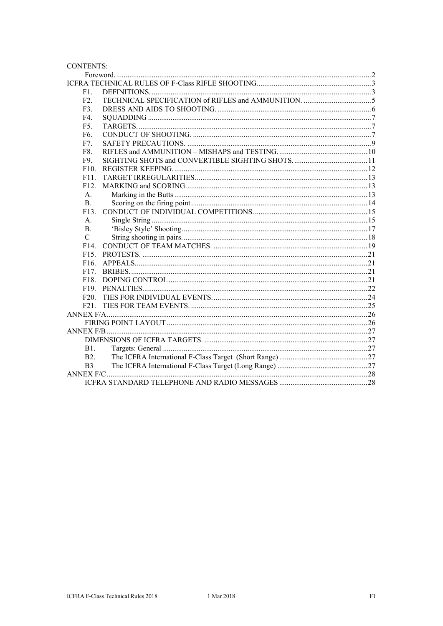| <b>CONTENTS:</b>  |  |  |  |  |  |  |
|-------------------|--|--|--|--|--|--|
|                   |  |  |  |  |  |  |
|                   |  |  |  |  |  |  |
| F1.               |  |  |  |  |  |  |
| F2.               |  |  |  |  |  |  |
| F3.               |  |  |  |  |  |  |
| F4.               |  |  |  |  |  |  |
| F <sub>5</sub> .  |  |  |  |  |  |  |
| F <sub>6</sub> .  |  |  |  |  |  |  |
| F7.               |  |  |  |  |  |  |
| F8.               |  |  |  |  |  |  |
| F9.               |  |  |  |  |  |  |
| F10.              |  |  |  |  |  |  |
| F11.              |  |  |  |  |  |  |
| F12.              |  |  |  |  |  |  |
| A <sub>1</sub>    |  |  |  |  |  |  |
| $\mathbf{B}$ .    |  |  |  |  |  |  |
| F13.              |  |  |  |  |  |  |
| A.                |  |  |  |  |  |  |
| $\mathbf{B}$ .    |  |  |  |  |  |  |
| $\mathbf C$       |  |  |  |  |  |  |
| F <sub>14</sub>   |  |  |  |  |  |  |
| F <sub>15</sub> . |  |  |  |  |  |  |
| F <sub>16</sub> . |  |  |  |  |  |  |
| F17.              |  |  |  |  |  |  |
| F18.              |  |  |  |  |  |  |
| F <sub>19</sub> . |  |  |  |  |  |  |
| F20.              |  |  |  |  |  |  |
| F21.              |  |  |  |  |  |  |
|                   |  |  |  |  |  |  |
|                   |  |  |  |  |  |  |
|                   |  |  |  |  |  |  |
|                   |  |  |  |  |  |  |
| <b>B1.</b>        |  |  |  |  |  |  |
| <b>B2.</b>        |  |  |  |  |  |  |
| B <sub>3</sub>    |  |  |  |  |  |  |
|                   |  |  |  |  |  |  |
|                   |  |  |  |  |  |  |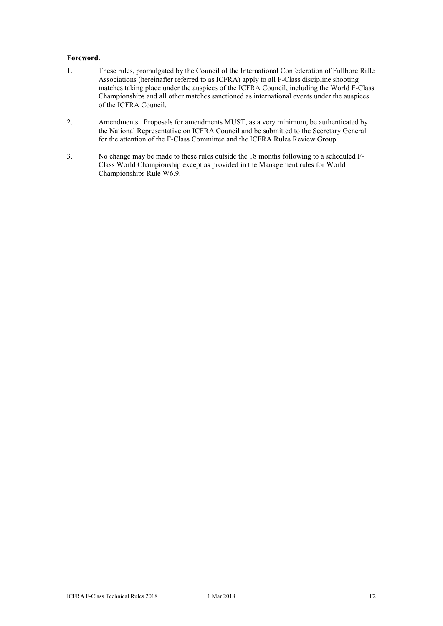#### **Foreword.**

- 1. These rules, promulgated by the Council of the International Confederation of Fullbore Rifle Associations (hereinafter referred to as ICFRA) apply to all F-Class discipline shooting matches taking place under the auspices of the ICFRA Council, including the World F-Class Championships and all other matches sanctioned as international events under the auspices of the ICFRA Council.
- 2. Amendments. Proposals for amendments MUST, as a very minimum, be authenticated by the National Representative on ICFRA Council and be submitted to the Secretary General for the attention of the F-Class Committee and the ICFRA Rules Review Group.
- 3. No change may be made to these rules outside the 18 months following to a scheduled F-Class World Championship except as provided in the Management rules for World Championships Rule W6.9.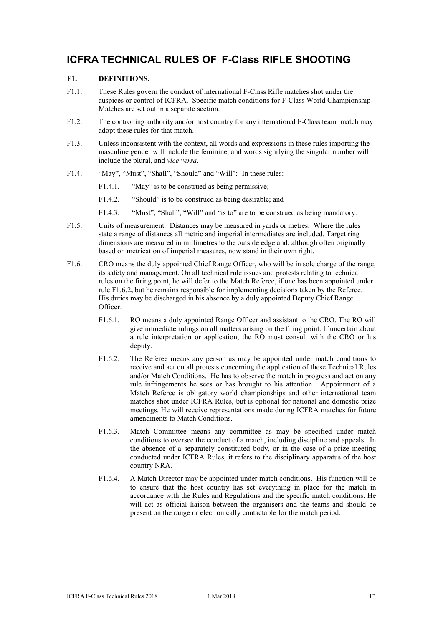### **ICFRA TECHNICAL RULES OF F-Class RIFLE SHOOTING**

#### **F1. DEFINITIONS.**

- F1.1. These Rules govern the conduct of international F-Class Rifle matches shot under the auspices or control of ICFRA. Specific match conditions for F-Class World Championship Matches are set out in a separate section.
- F1.2. The controlling authority and/or host country for any international F-Class team match may adopt these rules for that match.
- F1.3. Unless inconsistent with the context, all words and expressions in these rules importing the masculine gender will include the feminine, and words signifying the singular number will include the plural, and *vice versa*.
- F1.4. "May", "Must", "Shall", "Should" and "Will": -In these rules:
	- F1.4.1. "May" is to be construed as being permissive;
	- F1.4.2. "Should" is to be construed as being desirable; and
	- F1.4.3. "Must", "Shall", "Will" and "is to" are to be construed as being mandatory.
- F1.5. Units of measurement. Distances may be measured in yards or metres. Where the rules state a range of distances all metric and imperial intermediates are included. Target ring dimensions are measured in millimetres to the outside edge and, although often originally based on metrication of imperial measures, now stand in their own right.
- F1.6. CRO means the duly appointed Chief Range Officer, who will be in sole charge of the range, its safety and management. On all technical rule issues and protests relating to technical rules on the firing point, he will defer to the Match Referee, if one has been appointed under rule F1.6.2**,** but he remains responsible for implementing decisions taken by the Referee. His duties may be discharged in his absence by a duly appointed Deputy Chief Range Officer.
	- F1.6.1. RO means a duly appointed Range Officer and assistant to the CRO. The RO will give immediate rulings on all matters arising on the firing point. If uncertain about a rule interpretation or application, the RO must consult with the CRO or his deputy.
	- F1.6.2. The Referee means any person as may be appointed under match conditions to receive and act on all protests concerning the application of these Technical Rules and/or Match Conditions. He has to observe the match in progress and act on any rule infringements he sees or has brought to his attention. Appointment of a Match Referee is obligatory world championships and other international team matches shot under ICFRA Rules, but is optional for national and domestic prize meetings. He will receive representations made during ICFRA matches for future amendments to Match Conditions.
	- F1.6.3. Match Committee means any committee as may be specified under match conditions to oversee the conduct of a match, including discipline and appeals. In the absence of a separately constituted body, or in the case of a prize meeting conducted under ICFRA Rules, it refers to the disciplinary apparatus of the host country NRA.
	- F1.6.4. A Match Director may be appointed under match conditions. His function will be to ensure that the host country has set everything in place for the match in accordance with the Rules and Regulations and the specific match conditions. He will act as official liaison between the organisers and the teams and should be present on the range or electronically contactable for the match period.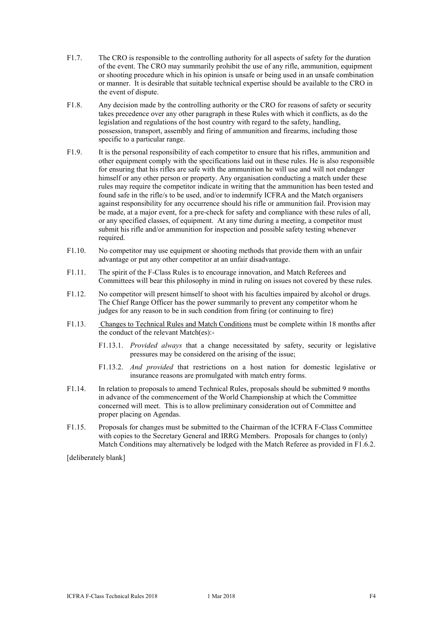- F1.7. The CRO is responsible to the controlling authority for all aspects of safety for the duration of the event. The CRO may summarily prohibit the use of any rifle, ammunition, equipment or shooting procedure which in his opinion is unsafe or being used in an unsafe combination or manner. It is desirable that suitable technical expertise should be available to the CRO in the event of dispute.
- F1.8. Any decision made by the controlling authority or the CRO for reasons of safety or security takes precedence over any other paragraph in these Rules with which it conflicts, as do the legislation and regulations of the host country with regard to the safety, handling, possession, transport, assembly and firing of ammunition and firearms, including those specific to a particular range.
- F1.9. It is the personal responsibility of each competitor to ensure that his rifles, ammunition and other equipment comply with the specifications laid out in these rules. He is also responsible for ensuring that his rifles are safe with the ammunition he will use and will not endanger himself or any other person or property. Any organisation conducting a match under these rules may require the competitor indicate in writing that the ammunition has been tested and found safe in the rifle/s to be used, and/or to indemnify ICFRA and the Match organisers against responsibility for any occurrence should his rifle or ammunition fail. Provision may be made, at a major event, for a pre-check for safety and compliance with these rules of all, or any specified classes, of equipment. At any time during a meeting, a competitor must submit his rifle and/or ammunition for inspection and possible safety testing whenever required.
- F1.10. No competitor may use equipment or shooting methods that provide them with an unfair advantage or put any other competitor at an unfair disadvantage.
- F1.11. The spirit of the F-Class Rules is to encourage innovation, and Match Referees and Committees will bear this philosophy in mind in ruling on issues not covered by these rules.
- F1.12. No competitor will present himself to shoot with his faculties impaired by alcohol or drugs. The Chief Range Officer has the power summarily to prevent any competitor whom he judges for any reason to be in such condition from firing (or continuing to fire)
- F1.13. Changes to Technical Rules and Match Conditions must be complete within 18 months after the conduct of the relevant Match(es):-
	- F1.13.1. *Provided always* that a change necessitated by safety, security or legislative pressures may be considered on the arising of the issue;
	- F1.13.2. *And provided* that restrictions on a host nation for domestic legislative or insurance reasons are promulgated with match entry forms.
- F1.14. In relation to proposals to amend Technical Rules, proposals should be submitted 9 months in advance of the commencement of the World Championship at which the Committee concerned will meet. This is to allow preliminary consideration out of Committee and proper placing on Agendas.
- F1.15. Proposals for changes must be submitted to the Chairman of the ICFRA F-Class Committee with copies to the Secretary General and IRRG Members. Proposals for changes to (only) Match Conditions may alternatively be lodged with the Match Referee as provided in F1.6.2.

[deliberately blank]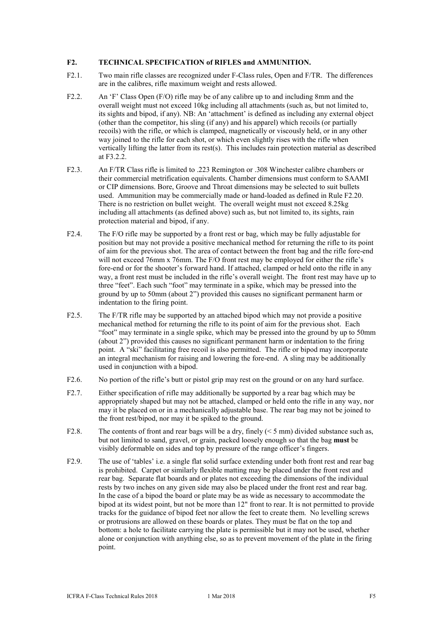#### **F2. TECHNICAL SPECIFICATION of RIFLES and AMMUNITION.**

- F2.1. Two main rifle classes are recognized under F-Class rules, Open and F/TR. The differences are in the calibres, rifle maximum weight and rests allowed.
- F2.2. An 'F' Class Open (F/O) rifle may be of any calibre up to and including 8mm and the overall weight must not exceed 10kg including all attachments (such as, but not limited to, its sights and bipod, if any). NB: An 'attachment' is defined as including any external object (other than the competitor, his sling (if any) and his apparel) which recoils (or partially recoils) with the rifle, or which is clamped, magnetically or viscously held, or in any other way joined to the rifle for each shot, or which even slightly rises with the rifle when vertically lifting the latter from its rest(s). This includes rain protection material as described at F3.2.2.
- F2.3. An F/TR Class rifle is limited to .223 Remington or .308 Winchester calibre chambers or their commercial metrification equivalents. Chamber dimensions must conform to SAAMI or CIP dimensions. Bore, Groove and Throat dimensions may be selected to suit bullets used. Ammunition may be commercially made or hand-loaded as defined in Rule F2.20. There is no restriction on bullet weight. The overall weight must not exceed 8.25kg including all attachments (as defined above) such as, but not limited to, its sights, rain protection material and bipod, if any.
- F2.4. The F/O rifle may be supported by a front rest or bag, which may be fully adjustable for position but may not provide a positive mechanical method for returning the rifle to its point of aim for the previous shot. The area of contact between the front bag and the rifle fore-end will not exceed 76mm x 76mm. The F/O front rest may be employed for either the rifle's fore-end or for the shooter's forward hand. If attached, clamped or held onto the rifle in any way, a front rest must be included in the rifle's overall weight. The front rest may have up to three "feet". Each such "foot" may terminate in a spike, which may be pressed into the ground by up to 50mm (about 2") provided this causes no significant permanent harm or indentation to the firing point.
- F2.5. The F/TR rifle may be supported by an attached bipod which may not provide a positive mechanical method for returning the rifle to its point of aim for the previous shot. Each "foot" may terminate in a single spike, which may be pressed into the ground by up to 50mm (about 2") provided this causes no significant permanent harm or indentation to the firing point. A "ski" facilitating free recoil is also permitted. The rifle or bipod may incorporate an integral mechanism for raising and lowering the fore-end. A sling may be additionally used in conjunction with a bipod.
- F2.6. No portion of the rifle's butt or pistol grip may rest on the ground or on any hard surface.
- F2.7. Either specification of rifle may additionally be supported by a rear bag which may be appropriately shaped but may not be attached, clamped or held onto the rifle in any way, nor may it be placed on or in a mechanically adjustable base. The rear bag may not be joined to the front rest/bipod, nor may it be spiked to the ground.
- F2.8. The contents of front and rear bags will be a dry, finely  $(< 5 \text{ mm})$  divided substance such as, but not limited to sand, gravel, or grain, packed loosely enough so that the bag **must** be visibly deformable on sides and top by pressure of the range officer's fingers.
- F2.9. The use of 'tables' i.e. a single flat solid surface extending under both front rest and rear bag is prohibited. Carpet or similarly flexible matting may be placed under the front rest and rear bag. Separate flat boards and or plates not exceeding the dimensions of the individual rests by two inches on any given side may also be placed under the front rest and rear bag. In the case of a bipod the board or plate may be as wide as necessary to accommodate the bipod at its widest point, but not be more than 12" front to rear. It is not permitted to provide tracks for the guidance of bipod feet nor allow the feet to create them. No levelling screws or protrusions are allowed on these boards or plates. They must be flat on the top and bottom: a hole to facilitate carrying the plate is permissible but it may not be used, whether alone or conjunction with anything else, so as to prevent movement of the plate in the firing point.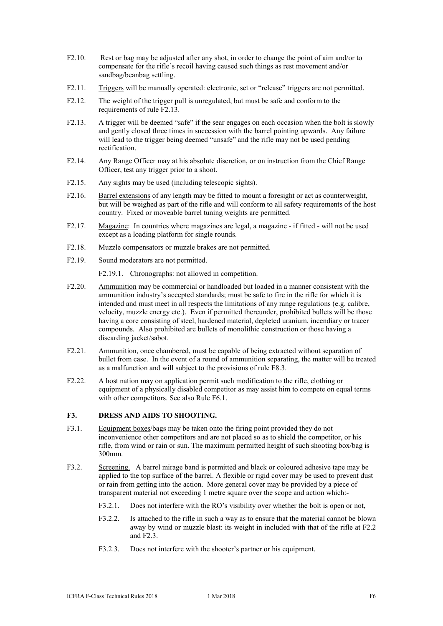- F2.10. Rest or bag may be adjusted after any shot, in order to change the point of aim and/or to compensate for the rifle's recoil having caused such things as rest movement and/or sandbag/beanbag settling.
- F2.11. Triggers will be manually operated: electronic, set or "release" triggers are not permitted.
- F2.12. The weight of the trigger pull is unregulated, but must be safe and conform to the requirements of rule F2.13.
- F2.13. A trigger will be deemed "safe" if the sear engages on each occasion when the bolt is slowly and gently closed three times in succession with the barrel pointing upwards. Any failure will lead to the trigger being deemed "unsafe" and the rifle may not be used pending rectification.
- F2.14. Any Range Officer may at his absolute discretion, or on instruction from the Chief Range Officer, test any trigger prior to a shoot.
- F2.15. Any sights may be used (including telescopic sights).
- F2.16. Barrel extensions of any length may be fitted to mount a foresight or act as counterweight, but will be weighed as part of the rifle and will conform to all safety requirements of the host country. Fixed or moveable barrel tuning weights are permitted.
- F2.17. Magazine: In countries where magazines are legal, a magazine if fitted will not be used except as a loading platform for single rounds.
- F2.18. Muzzle compensators or muzzle brakes are not permitted.
- F2.19. Sound moderators are not permitted.

F2.19.1. Chronographs: not allowed in competition.

- F2.20. Ammunition may be commercial or handloaded but loaded in a manner consistent with the ammunition industry's accepted standards; must be safe to fire in the rifle for which it is intended and must meet in all respects the limitations of any range regulations (e.g. calibre, velocity, muzzle energy etc.). Even if permitted thereunder, prohibited bullets will be those having a core consisting of steel, hardened material, depleted uranium, incendiary or tracer compounds. Also prohibited are bullets of monolithic construction or those having a discarding jacket/sabot.
- F2.21. Ammunition, once chambered, must be capable of being extracted without separation of bullet from case. In the event of a round of ammunition separating, the matter will be treated as a malfunction and will subject to the provisions of rule F8.3.
- F2.22. A host nation may on application permit such modification to the rifle, clothing or equipment of a physically disabled competitor as may assist him to compete on equal terms with other competitors. See also Rule F6.1.

#### **F3. DRESS AND AIDS TO SHOOTING.**

- F3.1. Equipment boxes/bags may be taken onto the firing point provided they do not inconvenience other competitors and are not placed so as to shield the competitor, or his rifle, from wind or rain or sun. The maximum permitted height of such shooting box/bag is 300mm.
- F3.2. Screening. A barrel mirage band is permitted and black or coloured adhesive tape may be applied to the top surface of the barrel. A flexible or rigid cover may be used to prevent dust or rain from getting into the action. More general cover may be provided by a piece of transparent material not exceeding 1 metre square over the scope and action which:-
	- F3.2.1. Does not interfere with the RO's visibility over whether the bolt is open or not,
	- F3.2.2. Is attached to the rifle in such a way as to ensure that the material cannot be blown away by wind or muzzle blast: its weight in included with that of the rifle at F2.2 and F2.3.
	- F3.2.3. Does not interfere with the shooter's partner or his equipment.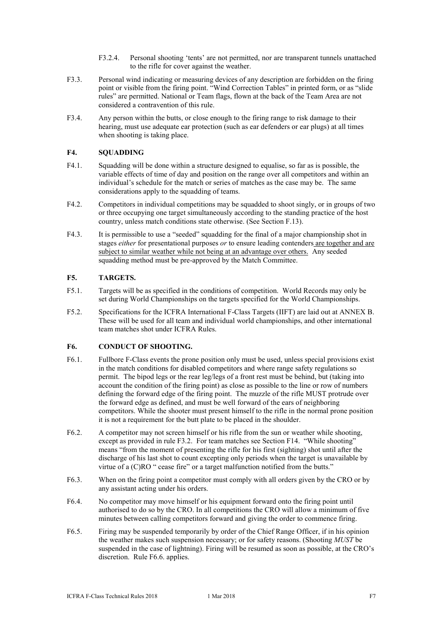- F3.2.4. Personal shooting 'tents' are not permitted, nor are transparent tunnels unattached to the rifle for cover against the weather.
- F3.3. Personal wind indicating or measuring devices of any description are forbidden on the firing point or visible from the firing point. "Wind Correction Tables" in printed form, or as "slide rules" are permitted. National or Team flags, flown at the back of the Team Area are not considered a contravention of this rule.
- F3.4. Any person within the butts, or close enough to the firing range to risk damage to their hearing, must use adequate ear protection (such as ear defenders or ear plugs) at all times when shooting is taking place.

#### **F4. SQUADDING**

- F4.1. Squadding will be done within a structure designed to equalise, so far as is possible, the variable effects of time of day and position on the range over all competitors and within an individual's schedule for the match or series of matches as the case may be. The same considerations apply to the squadding of teams.
- F4.2. Competitors in individual competitions may be squadded to shoot singly, or in groups of two or three occupying one target simultaneously according to the standing practice of the host country, unless match conditions state otherwise. (See Section F.13).
- F4.3. It is permissible to use a "seeded" squadding for the final of a major championship shot in stages *either* for presentational purposes *or* to ensure leading contenders are together and are subject to similar weather while not being at an advantage over others. Any seeded squadding method must be pre-approved by the Match Committee.

#### **F5. TARGETS.**

- F5.1. Targets will be as specified in the conditions of competition. World Records may only be set during World Championships on the targets specified for the World Championships.
- F5.2. Specifications for the ICFRA International F-Class Targets (IIFT) are laid out at ANNEX B. These will be used for all team and individual world championships, and other international team matches shot under ICFRA Rules.

#### **F6. CONDUCT OF SHOOTING.**

- F6.1. Fullbore F-Class events the prone position only must be used, unless special provisions exist in the match conditions for disabled competitors and where range safety regulations so permit. The bipod legs or the rear leg/legs of a front rest must be behind, but (taking into account the condition of the firing point) as close as possible to the line or row of numbers defining the forward edge of the firing point. The muzzle of the rifle MUST protrude over the forward edge as defined, and must be well forward of the ears of neighboring competitors. While the shooter must present himself to the rifle in the normal prone position it is not a requirement for the butt plate to be placed in the shoulder.
- F6.2. A competitor may not screen himself or his rifle from the sun or weather while shooting, except as provided in rule F3.2. For team matches see Section F14. "While shooting" means "from the moment of presenting the rifle for his first (sighting) shot until after the discharge of his last shot to count excepting only periods when the target is unavailable by virtue of a (C)RO " cease fire" or a target malfunction notified from the butts."
- F6.3. When on the firing point a competitor must comply with all orders given by the CRO or by any assistant acting under his orders.
- F6.4. No competitor may move himself or his equipment forward onto the firing point until authorised to do so by the CRO. In all competitions the CRO will allow a minimum of five minutes between calling competitors forward and giving the order to commence firing.
- F6.5. Firing may be suspended temporarily by order of the Chief Range Officer, if in his opinion the weather makes such suspension necessary; or for safety reasons. (Shooting *MUST* be suspended in the case of lightning). Firing will be resumed as soon as possible, at the CRO's discretion. Rule F6.6. applies.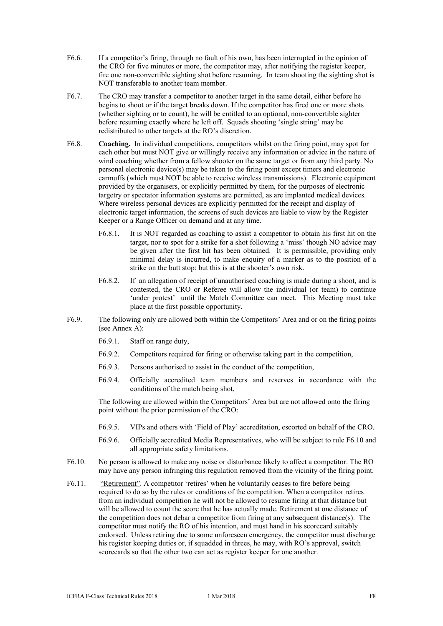- F6.6. If a competitor's firing, through no fault of his own, has been interrupted in the opinion of the CRO for five minutes or more, the competitor may, after notifying the register keeper, fire one non-convertible sighting shot before resuming. In team shooting the sighting shot is NOT transferable to another team member.
- F6.7. The CRO may transfer a competitor to another target in the same detail, either before he begins to shoot or if the target breaks down. If the competitor has fired one or more shots (whether sighting or to count), he will be entitled to an optional, non-convertible sighter before resuming exactly where he left off. Squads shooting 'single string' may be redistributed to other targets at the RO's discretion.
- F6.8. **Coaching.** In individual competitions, competitors whilst on the firing point, may spot for each other but must NOT give or willingly receive any information or advice in the nature of wind coaching whether from a fellow shooter on the same target or from any third party. No personal electronic device(s) may be taken to the firing point except timers and electronic earmuffs (which must NOT be able to receive wireless transmissions). Electronic equipment provided by the organisers, or explicitly permitted by them, for the purposes of electronic targetry or spectator information systems are permitted, as are implanted medical devices. Where wireless personal devices are explicitly permitted for the receipt and display of electronic target information, the screens of such devices are liable to view by the Register Keeper or a Range Officer on demand and at any time.
	- F6.8.1. It is NOT regarded as coaching to assist a competitor to obtain his first hit on the target, nor to spot for a strike for a shot following a 'miss' though NO advice may be given after the first hit has been obtained. It is permissible, providing only minimal delay is incurred, to make enquiry of a marker as to the position of a strike on the butt stop: but this is at the shooter's own risk.
	- F6.8.2. If an allegation of receipt of unauthorised coaching is made during a shoot, and is contested, the CRO or Referee will allow the individual (or team) to continue 'under protest' until the Match Committee can meet. This Meeting must take place at the first possible opportunity.
- F6.9. The following only are allowed both within the Competitors' Area and or on the firing points (see Annex A):
	- F6.9.1. Staff on range duty,
	- F6.9.2. Competitors required for firing or otherwise taking part in the competition,
	- F6.9.3. Persons authorised to assist in the conduct of the competition,
	- F6.9.4. Officially accredited team members and reserves in accordance with the conditions of the match being shot,

The following are allowed within the Competitors' Area but are not allowed onto the firing point without the prior permission of the CRO:

- F6.9.5. VIPs and others with 'Field of Play' accreditation, escorted on behalf of the CRO.
- F6.9.6. Officially accredited Media Representatives, who will be subject to rule F6.10 and all appropriate safety limitations.
- F6.10. No person is allowed to make any noise or disturbance likely to affect a competitor. The RO may have any person infringing this regulation removed from the vicinity of the firing point.
- F6.11. "Retirement". A competitor 'retires' when he voluntarily ceases to fire before being required to do so by the rules or conditions of the competition. When a competitor retires from an individual competition he will not be allowed to resume firing at that distance but will be allowed to count the score that he has actually made. Retirement at one distance of the competition does not debar a competitor from firing at any subsequent distance(s). The competitor must notify the RO of his intention, and must hand in his scorecard suitably endorsed. Unless retiring due to some unforeseen emergency, the competitor must discharge his register keeping duties or, if squadded in threes, he may, with RO's approval, switch scorecards so that the other two can act as register keeper for one another.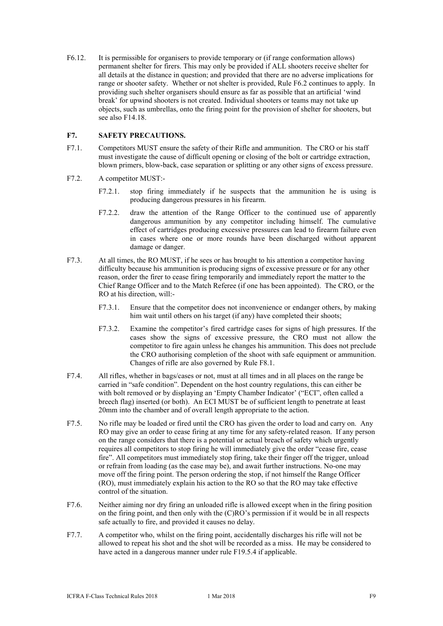F6.12. It is permissible for organisers to provide temporary or (if range conformation allows) permanent shelter for firers. This may only be provided if ALL shooters receive shelter for all details at the distance in question; and provided that there are no adverse implications for range or shooter safety. Whether or not shelter is provided, Rule F6.2 continues to apply. In providing such shelter organisers should ensure as far as possible that an artificial 'wind break' for upwind shooters is not created. Individual shooters or teams may not take up objects, such as umbrellas, onto the firing point for the provision of shelter for shooters, but see also F14.18.

#### **F7. SAFETY PRECAUTIONS.**

- F7.1. Competitors MUST ensure the safety of their Rifle and ammunition. The CRO or his staff must investigate the cause of difficult opening or closing of the bolt or cartridge extraction, blown primers, blow-back, case separation or splitting or any other signs of excess pressure.
- F7.2. A competitor MUST:-
	- F7.2.1. stop firing immediately if he suspects that the ammunition he is using is producing dangerous pressures in his firearm.
	- F7.2.2. draw the attention of the Range Officer to the continued use of apparently dangerous ammunition by any competitor including himself. The cumulative effect of cartridges producing excessive pressures can lead to firearm failure even in cases where one or more rounds have been discharged without apparent damage or danger.
- F7.3. At all times, the RO MUST, if he sees or has brought to his attention a competitor having difficulty because his ammunition is producing signs of excessive pressure or for any other reason, order the firer to cease firing temporarily and immediately report the matter to the Chief Range Officer and to the Match Referee (if one has been appointed). The CRO, or the RO at his direction, will:-
	- F7.3.1. Ensure that the competitor does not inconvenience or endanger others, by making him wait until others on his target (if any) have completed their shoots;
	- F7.3.2. Examine the competitor's fired cartridge cases for signs of high pressures. If the cases show the signs of excessive pressure, the CRO must not allow the competitor to fire again unless he changes his ammunition. This does not preclude the CRO authorising completion of the shoot with safe equipment or ammunition. Changes of rifle are also governed by Rule F8.1.
- F7.4. All rifles, whether in bags/cases or not, must at all times and in all places on the range be carried in "safe condition". Dependent on the host country regulations, this can either be with bolt removed or by displaying an 'Empty Chamber Indicator' ("ECI", often called a breech flag) inserted (or both). An ECI MUST be of sufficient length to penetrate at least 20mm into the chamber and of overall length appropriate to the action.
- F7.5. No rifle may be loaded or fired until the CRO has given the order to load and carry on. Any RO may give an order to cease firing at any time for any safety-related reason. If any person on the range considers that there is a potential or actual breach of safety which urgently requires all competitors to stop firing he will immediately give the order "cease fire, cease fire". All competitors must immediately stop firing, take their finger off the trigger, unload or refrain from loading (as the case may be), and await further instructions. No-one may move off the firing point. The person ordering the stop, if not himself the Range Officer (RO), must immediately explain his action to the RO so that the RO may take effective control of the situation.
- F7.6. Neither aiming nor dry firing an unloaded rifle is allowed except when in the firing position on the firing point, and then only with the (C)RO's permission if it would be in all respects safe actually to fire, and provided it causes no delay.
- F7.7. A competitor who, whilst on the firing point, accidentally discharges his rifle will not be allowed to repeat his shot and the shot will be recorded as a miss. He may be considered to have acted in a dangerous manner under rule F19.5.4 if applicable.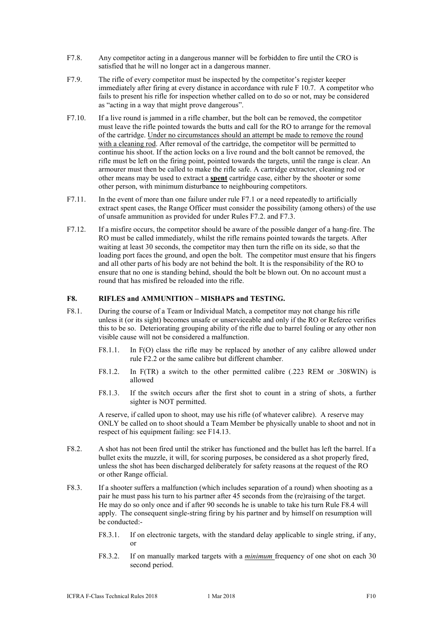- F7.8. Any competitor acting in a dangerous manner will be forbidden to fire until the CRO is satisfied that he will no longer act in a dangerous manner.
- F7.9. The rifle of every competitor must be inspected by the competitor's register keeper immediately after firing at every distance in accordance with rule F 10.7. A competitor who fails to present his rifle for inspection whether called on to do so or not, may be considered as "acting in a way that might prove dangerous".
- F7.10. If a live round is jammed in a rifle chamber, but the bolt can be removed, the competitor must leave the rifle pointed towards the butts and call for the RO to arrange for the removal of the cartridge. Under no circumstances should an attempt be made to remove the round with a cleaning rod. After removal of the cartridge, the competitor will be permitted to continue his shoot. If the action locks on a live round and the bolt cannot be removed, the rifle must be left on the firing point, pointed towards the targets, until the range is clear. An armourer must then be called to make the rifle safe. A cartridge extractor, cleaning rod or other means may be used to extract a **spent** cartridge case, either by the shooter or some other person, with minimum disturbance to neighbouring competitors.
- F7.11. In the event of more than one failure under rule F7.1 or a need repeatedly to artificially extract spent cases, the Range Officer must consider the possibility (among others) of the use of unsafe ammunition as provided for under Rules F7.2. and F7.3.
- F7.12. If a misfire occurs, the competitor should be aware of the possible danger of a hang-fire. The RO must be called immediately, whilst the rifle remains pointed towards the targets. After waiting at least 30 seconds, the competitor may then turn the rifle on its side, so that the loading port faces the ground, and open the bolt. The competitor must ensure that his fingers and all other parts of his body are not behind the bolt. It is the responsibility of the RO to ensure that no one is standing behind, should the bolt be blown out. On no account must a round that has misfired be reloaded into the rifle.

#### **F8. RIFLES and AMMUNITION – MISHAPS and TESTING.**

- F8.1. During the course of a Team or Individual Match, a competitor may not change his rifle unless it (or its sight) becomes unsafe or unserviceable and only if the RO or Referee verifies this to be so. Deteriorating grouping ability of the rifle due to barrel fouling or any other non visible cause will not be considered a malfunction.
	- F8.1.1. In F(O) class the rifle may be replaced by another of any calibre allowed under rule F2.2 or the same calibre but different chamber.
	- F8.1.2. In F(TR) a switch to the other permitted calibre (.223 REM or .308WIN) is allowed
	- F8.1.3. If the switch occurs after the first shot to count in a string of shots, a further sighter is NOT permitted.

A reserve, if called upon to shoot, may use his rifle (of whatever calibre). A reserve may ONLY be called on to shoot should a Team Member be physically unable to shoot and not in respect of his equipment failing: see F14.13.

- F8.2. A shot has not been fired until the striker has functioned and the bullet has left the barrel. If a bullet exits the muzzle, it will, for scoring purposes, be considered as a shot properly fired, unless the shot has been discharged deliberately for safety reasons at the request of the RO or other Range official.
- F8.3. If a shooter suffers a malfunction (which includes separation of a round) when shooting as a pair he must pass his turn to his partner after 45 seconds from the (re)raising of the target. He may do so only once and if after 90 seconds he is unable to take his turn Rule F8.4 will apply. The consequent single-string firing by his partner and by himself on resumption will be conducted:-
	- F8.3.1. If on electronic targets, with the standard delay applicable to single string, if any, or
	- F8.3.2. If on manually marked targets with a *minimum* frequency of one shot on each 30 second period.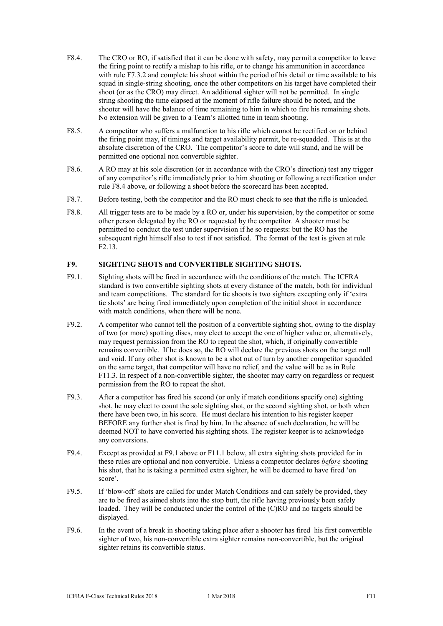- F8.4. The CRO or RO, if satisfied that it can be done with safety, may permit a competitor to leave the firing point to rectify a mishap to his rifle, or to change his ammunition in accordance with rule F7.3.2 and complete his shoot within the period of his detail or time available to his squad in single-string shooting, once the other competitors on his target have completed their shoot (or as the CRO) may direct. An additional sighter will not be permitted. In single string shooting the time elapsed at the moment of rifle failure should be noted, and the shooter will have the balance of time remaining to him in which to fire his remaining shots. No extension will be given to a Team's allotted time in team shooting.
- F8.5. A competitor who suffers a malfunction to his rifle which cannot be rectified on or behind the firing point may, if timings and target availability permit, be re-squadded. This is at the absolute discretion of the CRO. The competitor's score to date will stand, and he will be permitted one optional non convertible sighter.
- F8.6. A RO may at his sole discretion (or in accordance with the CRO's direction) test any trigger of any competitor's rifle immediately prior to him shooting or following a rectification under rule F8.4 above, or following a shoot before the scorecard has been accepted.
- F8.7. Before testing, both the competitor and the RO must check to see that the rifle is unloaded.
- F8.8. All trigger tests are to be made by a RO or, under his supervision, by the competitor or some other person delegated by the RO or requested by the competitor. A shooter must be permitted to conduct the test under supervision if he so requests: but the RO has the subsequent right himself also to test if not satisfied. The format of the test is given at rule F2.13.

#### **F9. SIGHTING SHOTS and CONVERTIBLE SIGHTING SHOTS.**

- F9.1. Sighting shots will be fired in accordance with the conditions of the match. The ICFRA standard is two convertible sighting shots at every distance of the match, both for individual and team competitions. The standard for tie shoots is two sighters excepting only if 'extra tie shots' are being fired immediately upon completion of the initial shoot in accordance with match conditions, when there will be none.
- F9.2. A competitor who cannot tell the position of a convertible sighting shot, owing to the display of two (or more) spotting discs, may elect to accept the one of higher value or, alternatively, may request permission from the RO to repeat the shot, which, if originally convertible remains convertible. If he does so, the RO will declare the previous shots on the target null and void. If any other shot is known to be a shot out of turn by another competitor squadded on the same target, that competitor will have no relief, and the value will be as in Rule F11.3. In respect of a non-convertible sighter, the shooter may carry on regardless or request permission from the RO to repeat the shot.
- F9.3. After a competitor has fired his second (or only if match conditions specify one) sighting shot, he may elect to count the sole sighting shot, or the second sighting shot, or both when there have been two, in his score. He must declare his intention to his register keeper BEFORE any further shot is fired by him. In the absence of such declaration, he will be deemed NOT to have converted his sighting shots. The register keeper is to acknowledge any conversions.
- F9.4. Except as provided at F9.1 above or F11.1 below, all extra sighting shots provided for in these rules are optional and non convertible. Unless a competitor declares *before* shooting his shot, that he is taking a permitted extra sighter, he will be deemed to have fired 'on score'.
- F9.5. If 'blow-off' shots are called for under Match Conditions and can safely be provided, they are to be fired as aimed shots into the stop butt, the rifle having previously been safely loaded. They will be conducted under the control of the (C)RO and no targets should be displayed.
- F9.6. In the event of a break in shooting taking place after a shooter has fired his first convertible sighter of two, his non-convertible extra sighter remains non-convertible, but the original sighter retains its convertible status.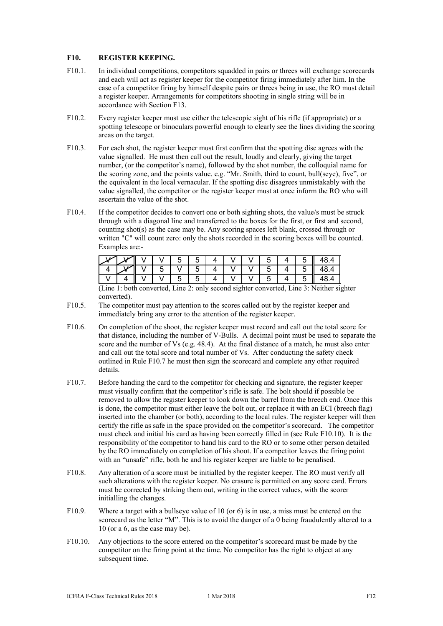#### **F10. REGISTER KEEPING.**

- F10.1. In individual competitions, competitors squadded in pairs or threes will exchange scorecards and each will act as register keeper for the competitor firing immediately after him. In the case of a competitor firing by himself despite pairs or threes being in use, the RO must detail a register keeper. Arrangements for competitors shooting in single string will be in accordance with Section F13.
- F10.2. Every register keeper must use either the telescopic sight of his rifle (if appropriate) or a spotting telescope or binoculars powerful enough to clearly see the lines dividing the scoring areas on the target.
- F10.3. For each shot, the register keeper must first confirm that the spotting disc agrees with the value signalled. He must then call out the result, loudly and clearly, giving the target number, (or the competitor's name), followed by the shot number, the colloquial name for the scoring zone, and the points value. e.g. "Mr. Smith, third to count, bull(seye), five", or the equivalent in the local vernacular. If the spotting disc disagrees unmistakably with the value signalled, the competitor or the register keeper must at once inform the RO who will ascertain the value of the shot.
- F10.4. If the competitor decides to convert one or both sighting shots, the value/s must be struck through with a diagonal line and transferred to the boxes for the first, or first and second, counting shot(s) as the case may be. Any scoring spaces left blank, crossed through or written "C" will count zero: only the shots recorded in the scoring boxes will be counted. Examples are:-

| $\sqrt{\parallel V \parallel V \parallel 5 \parallel V \parallel 5 \parallel 4 \parallel V \parallel V \parallel 5 \parallel 4 \parallel 5 \parallel 48.4}$<br>V   4    V   V   5   5   4   V   V   5   4   5    48.4 |  |  |  |  |  |  |  |
|-----------------------------------------------------------------------------------------------------------------------------------------------------------------------------------------------------------------------|--|--|--|--|--|--|--|
|                                                                                                                                                                                                                       |  |  |  |  |  |  |  |
|                                                                                                                                                                                                                       |  |  |  |  |  |  |  |

(Line 1: both converted, Line 2: only second sighter converted, Line 3: Neither sighter converted).

- F10.5. The competitor must pay attention to the scores called out by the register keeper and immediately bring any error to the attention of the register keeper.
- F10.6. On completion of the shoot, the register keeper must record and call out the total score for that distance, including the number of V-Bulls. A decimal point must be used to separate the score and the number of Vs (e.g.  $48.4$ ). At the final distance of a match, he must also enter and call out the total score and total number of Vs. After conducting the safety check outlined in Rule F10.7 he must then sign the scorecard and complete any other required details.
- F10.7. Before handing the card to the competitor for checking and signature, the register keeper must visually confirm that the competitor's rifle is safe. The bolt should if possible be removed to allow the register keeper to look down the barrel from the breech end. Once this is done, the competitor must either leave the bolt out, or replace it with an ECI (breech flag) inserted into the chamber (or both), according to the local rules. The register keeper will then certify the rifle as safe in the space provided on the competitor's scorecard. The competitor must check and initial his card as having been correctly filled in (see Rule F10.10). It is the responsibility of the competitor to hand his card to the RO or to some other person detailed by the RO immediately on completion of his shoot. If a competitor leaves the firing point with an "unsafe" rifle, both he and his register keeper are liable to be penalised.
- F10.8. Any alteration of a score must be initialled by the register keeper. The RO must verify all such alterations with the register keeper. No erasure is permitted on any score card. Errors must be corrected by striking them out, writing in the correct values, with the scorer initialling the changes.
- F10.9. Where a target with a bullseve value of 10 (or 6) is in use, a miss must be entered on the scorecard as the letter "M". This is to avoid the danger of a 0 being fraudulently altered to a 10 (or a 6, as the case may be).
- F10.10. Any objections to the score entered on the competitor's scorecard must be made by the competitor on the firing point at the time. No competitor has the right to object at any subsequent time.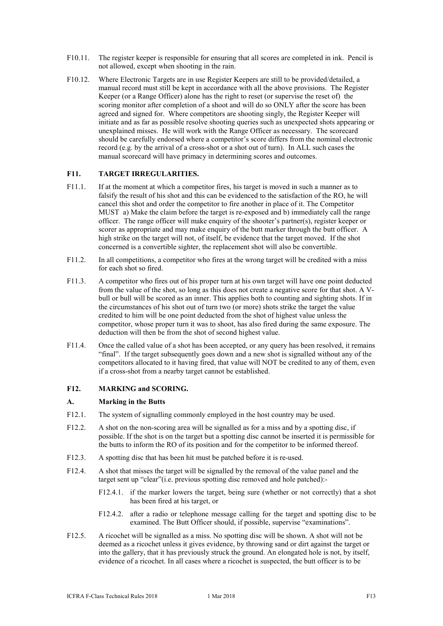- F10.11. The register keeper is responsible for ensuring that all scores are completed in ink. Pencil is not allowed, except when shooting in the rain.
- F10.12. Where Electronic Targets are in use Register Keepers are still to be provided/detailed, a manual record must still be kept in accordance with all the above provisions. The Register Keeper (or a Range Officer) alone has the right to reset (or supervise the reset of) the scoring monitor after completion of a shoot and will do so ONLY after the score has been agreed and signed for. Where competitors are shooting singly, the Register Keeper will initiate and as far as possible resolve shooting queries such as unexpected shots appearing or unexplained misses. He will work with the Range Officer as necessary. The scorecard should be carefully endorsed where a competitor's score differs from the nominal electronic record (e.g. by the arrival of a cross-shot or a shot out of turn). In ALL such cases the manual scorecard will have primacy in determining scores and outcomes.

#### **F11. TARGET IRREGULARITIES.**

- F11.1. If at the moment at which a competitor fires, his target is moved in such a manner as to falsify the result of his shot and this can be evidenced to the satisfaction of the RO, he will cancel this shot and order the competitor to fire another in place of it. The Competitor MUST a) Make the claim before the target is re-exposed and b) immediately call the range officer. The range officer will make enquiry of the shooter's partner(s), register keeper or scorer as appropriate and may make enquiry of the butt marker through the butt officer. A high strike on the target will not, of itself, be evidence that the target moved. If the shot concerned is a convertible sighter, the replacement shot will also be convertible.
- F11.2. In all competitions, a competitor who fires at the wrong target will be credited with a miss for each shot so fired.
- F11.3. A competitor who fires out of his proper turn at his own target will have one point deducted from the value of the shot, so long as this does not create a negative score for that shot. A Vbull or bull will be scored as an inner. This applies both to counting and sighting shots. If in the circumstances of his shot out of turn two (or more) shots strike the target the value credited to him will be one point deducted from the shot of highest value unless the competitor, whose proper turn it was to shoot, has also fired during the same exposure. The deduction will then be from the shot of second highest value.
- F11.4. Once the called value of a shot has been accepted, or any query has been resolved, it remains "final". If the target subsequently goes down and a new shot is signalled without any of the competitors allocated to it having fired, that value will NOT be credited to any of them, even if a cross-shot from a nearby target cannot be established.

#### **F12. MARKING and SCORING.**

#### **A. Marking in the Butts**

- F12.1. The system of signalling commonly employed in the host country may be used.
- F12.2. A shot on the non-scoring area will be signalled as for a miss and by a spotting disc, if possible. If the shot is on the target but a spotting disc cannot be inserted it is permissible for the butts to inform the RO of its position and for the competitor to be informed thereof.
- F12.3. A spotting disc that has been hit must be patched before it is re-used.
- F12.4. A shot that misses the target will be signalled by the removal of the value panel and the target sent up "clear"(i.e. previous spotting disc removed and hole patched):-
	- F12.4.1. if the marker lowers the target, being sure (whether or not correctly) that a shot has been fired at his target, or
	- F12.4.2. after a radio or telephone message calling for the target and spotting disc to be examined. The Butt Officer should, if possible, supervise "examinations".
- F12.5. A ricochet will be signalled as a miss. No spotting disc will be shown. A shot will not be deemed as a ricochet unless it gives evidence, by throwing sand or dirt against the target or into the gallery, that it has previously struck the ground. An elongated hole is not, by itself, evidence of a ricochet. In all cases where a ricochet is suspected, the butt officer is to be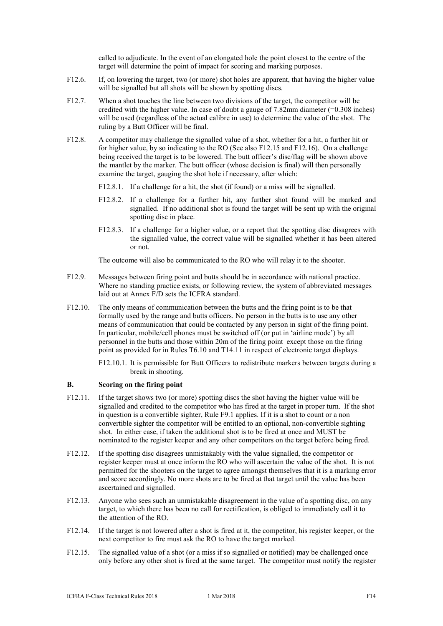called to adjudicate. In the event of an elongated hole the point closest to the centre of the target will determine the point of impact for scoring and marking purposes.

- F12.6. If, on lowering the target, two (or more) shot holes are apparent, that having the higher value will be signalled but all shots will be shown by spotting discs.
- F12.7. When a shot touches the line between two divisions of the target, the competitor will be credited with the higher value. In case of doubt a gauge of  $7.82$ mm diameter (=0.308 inches) will be used (regardless of the actual calibre in use) to determine the value of the shot. The ruling by a Butt Officer will be final.
- F12.8. A competitor may challenge the signalled value of a shot, whether for a hit, a further hit or for higher value, by so indicating to the RO (See also F12.15 and F12.16). On a challenge being received the target is to be lowered. The butt officer's disc/flag will be shown above the mantlet by the marker. The butt officer (whose decision is final) will then personally examine the target, gauging the shot hole if necessary, after which:
	- F12.8.1. If a challenge for a hit, the shot (if found) or a miss will be signalled.
	- F12.8.2. If a challenge for a further hit, any further shot found will be marked and signalled. If no additional shot is found the target will be sent up with the original spotting disc in place.
	- F12.8.3. If a challenge for a higher value, or a report that the spotting disc disagrees with the signalled value, the correct value will be signalled whether it has been altered or not.

The outcome will also be communicated to the RO who will relay it to the shooter.

- F12.9. Messages between firing point and butts should be in accordance with national practice. Where no standing practice exists, or following review, the system of abbreviated messages laid out at Annex F/D sets the ICFRA standard.
- F12.10. The only means of communication between the butts and the firing point is to be that formally used by the range and butts officers. No person in the butts is to use any other means of communication that could be contacted by any person in sight of the firing point. In particular, mobile/cell phones must be switched off (or put in 'airline mode') by all personnel in the butts and those within 20m of the firing point except those on the firing point as provided for in Rules T6.10 and T14.11 in respect of electronic target displays.
	- F12.10.1. It is permissible for Butt Officers to redistribute markers between targets during a break in shooting.

#### **B. Scoring on the firing point**

- F12.11. If the target shows two (or more) spotting discs the shot having the higher value will be signalled and credited to the competitor who has fired at the target in proper turn. If the shot in question is a convertible sighter, Rule F9.1 applies. If it is a shot to count or a non convertible sighter the competitor will be entitled to an optional, non-convertible sighting shot. In either case, if taken the additional shot is to be fired at once and MUST be nominated to the register keeper and any other competitors on the target before being fired.
- F12.12. If the spotting disc disagrees unmistakably with the value signalled, the competitor or register keeper must at once inform the RO who will ascertain the value of the shot. It is not permitted for the shooters on the target to agree amongst themselves that it is a marking error and score accordingly. No more shots are to be fired at that target until the value has been ascertained and signalled.
- F12.13. Anyone who sees such an unmistakable disagreement in the value of a spotting disc, on any target, to which there has been no call for rectification, is obliged to immediately call it to the attention of the RO.
- F12.14. If the target is not lowered after a shot is fired at it, the competitor, his register keeper, or the next competitor to fire must ask the RO to have the target marked.
- F12.15. The signalled value of a shot (or a miss if so signalled or notified) may be challenged once only before any other shot is fired at the same target. The competitor must notify the register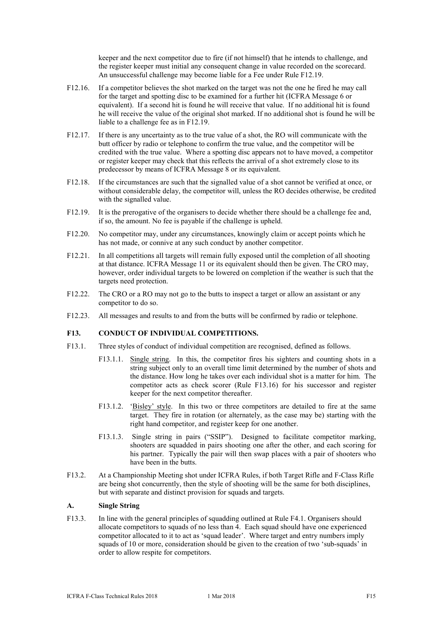keeper and the next competitor due to fire (if not himself) that he intends to challenge, and the register keeper must initial any consequent change in value recorded on the scorecard. An unsuccessful challenge may become liable for a Fee under Rule F12.19.

- F12.16. If a competitor believes the shot marked on the target was not the one he fired he may call for the target and spotting disc to be examined for a further hit (ICFRA Message 6 or equivalent). If a second hit is found he will receive that value. If no additional hit is found he will receive the value of the original shot marked. If no additional shot is found he will be liable to a challenge fee as in F12.19.
- F12.17. If there is any uncertainty as to the true value of a shot, the RO will communicate with the butt officer by radio or telephone to confirm the true value, and the competitor will be credited with the true value. Where a spotting disc appears not to have moved, a competitor or register keeper may check that this reflects the arrival of a shot extremely close to its predecessor by means of ICFRA Message 8 or its equivalent.
- F12.18. If the circumstances are such that the signalled value of a shot cannot be verified at once, or without considerable delay, the competitor will, unless the RO decides otherwise, be credited with the signalled value.
- F12.19. It is the prerogative of the organisers to decide whether there should be a challenge fee and, if so, the amount. No fee is payable if the challenge is upheld.
- F12.20. No competitor may, under any circumstances, knowingly claim or accept points which he has not made, or connive at any such conduct by another competitor.
- F12.21. In all competitions all targets will remain fully exposed until the completion of all shooting at that distance. ICFRA Message 11 or its equivalent should then be given. The CRO may, however, order individual targets to be lowered on completion if the weather is such that the targets need protection.
- F12.22. The CRO or a RO may not go to the butts to inspect a target or allow an assistant or any competitor to do so.
- F12.23. All messages and results to and from the butts will be confirmed by radio or telephone.

#### **F13. CONDUCT OF INDIVIDUAL COMPETITIONS.**

- F13.1. Three styles of conduct of individual competition are recognised, defined as follows.
	- F13.1.1. Single string. In this, the competitor fires his sighters and counting shots in a string subject only to an overall time limit determined by the number of shots and the distance. How long he takes over each individual shot is a matter for him. The competitor acts as check scorer (Rule F13.16) for his successor and register keeper for the next competitor thereafter.
	- F13.1.2. 'Bisley' style. In this two or three competitors are detailed to fire at the same target. They fire in rotation (or alternately, as the case may be) starting with the right hand competitor, and register keep for one another.
	- F13.1.3. Single string in pairs ("SSIP"). Designed to facilitate competitor marking, shooters are squadded in pairs shooting one after the other, and each scoring for his partner. Typically the pair will then swap places with a pair of shooters who have been in the butts.
- F13.2. At a Championship Meeting shot under ICFRA Rules, if both Target Rifle and F-Class Rifle are being shot concurrently, then the style of shooting will be the same for both disciplines, but with separate and distinct provision for squads and targets.

#### **A. Single String**

F13.3. In line with the general principles of squadding outlined at Rule F4.1. Organisers should allocate competitors to squads of no less than 4. Each squad should have one experienced competitor allocated to it to act as 'squad leader'. Where target and entry numbers imply squads of 10 or more, consideration should be given to the creation of two 'sub-squads' in order to allow respite for competitors.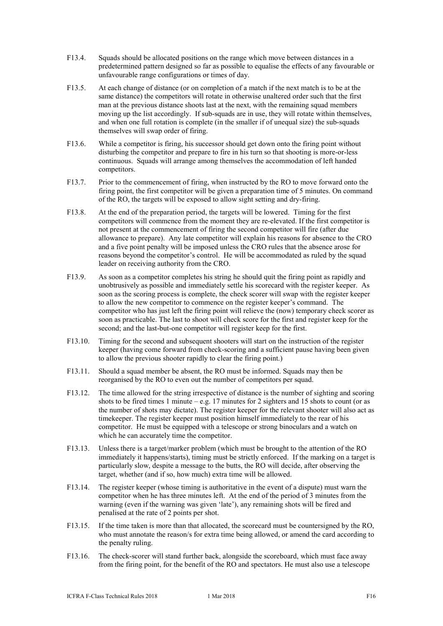- F13.4. Squads should be allocated positions on the range which move between distances in a predetermined pattern designed so far as possible to equalise the effects of any favourable or unfavourable range configurations or times of day.
- F13.5. At each change of distance (or on completion of a match if the next match is to be at the same distance) the competitors will rotate in otherwise unaltered order such that the first man at the previous distance shoots last at the next, with the remaining squad members moving up the list accordingly. If sub-squads are in use, they will rotate within themselves, and when one full rotation is complete (in the smaller if of unequal size) the sub-squads themselves will swap order of firing.
- F13.6. While a competitor is firing, his successor should get down onto the firing point without disturbing the competitor and prepare to fire in his turn so that shooting is more-or-less continuous. Squads will arrange among themselves the accommodation of left handed competitors.
- F13.7. Prior to the commencement of firing, when instructed by the RO to move forward onto the firing point, the first competitor will be given a preparation time of 5 minutes. On command of the RO, the targets will be exposed to allow sight setting and dry-firing.
- F13.8. At the end of the preparation period, the targets will be lowered. Timing for the first competitors will commence from the moment they are re-elevated. If the first competitor is not present at the commencement of firing the second competitor will fire (after due allowance to prepare). Any late competitor will explain his reasons for absence to the CRO and a five point penalty will be imposed unless the CRO rules that the absence arose for reasons beyond the competitor's control. He will be accommodated as ruled by the squad leader on receiving authority from the CRO.
- F13.9. As soon as a competitor completes his string he should quit the firing point as rapidly and unobtrusively as possible and immediately settle his scorecard with the register keeper. As soon as the scoring process is complete, the check scorer will swap with the register keeper to allow the new competitor to commence on the register keeper's command. The competitor who has just left the firing point will relieve the (now) temporary check scorer as soon as practicable. The last to shoot will check score for the first and register keep for the second; and the last-but-one competitor will register keep for the first.
- F13.10. Timing for the second and subsequent shooters will start on the instruction of the register keeper (having come forward from check-scoring and a sufficient pause having been given to allow the previous shooter rapidly to clear the firing point.)
- F13.11. Should a squad member be absent, the RO must be informed. Squads may then be reorganised by the RO to even out the number of competitors per squad.
- F13.12. The time allowed for the string irrespective of distance is the number of sighting and scoring shots to be fired times 1 minute – e.g. 17 minutes for 2 sighters and 15 shots to count (or as the number of shots may dictate). The register keeper for the relevant shooter will also act as timekeeper. The register keeper must position himself immediately to the rear of his competitor. He must be equipped with a telescope or strong binoculars and a watch on which he can accurately time the competitor.
- F13.13. Unless there is a target/marker problem (which must be brought to the attention of the RO immediately it happens/starts), timing must be strictly enforced. If the marking on a target is particularly slow, despite a message to the butts, the RO will decide, after observing the target, whether (and if so, how much) extra time will be allowed.
- F13.14. The register keeper (whose timing is authoritative in the event of a dispute) must warn the competitor when he has three minutes left. At the end of the period of 3 minutes from the warning (even if the warning was given 'late'), any remaining shots will be fired and penalised at the rate of 2 points per shot.
- F13.15. If the time taken is more than that allocated, the scorecard must be countersigned by the RO, who must annotate the reason/s for extra time being allowed, or amend the card according to the penalty ruling.
- F13.16. The check-scorer will stand further back, alongside the scoreboard, which must face away from the firing point, for the benefit of the RO and spectators. He must also use a telescope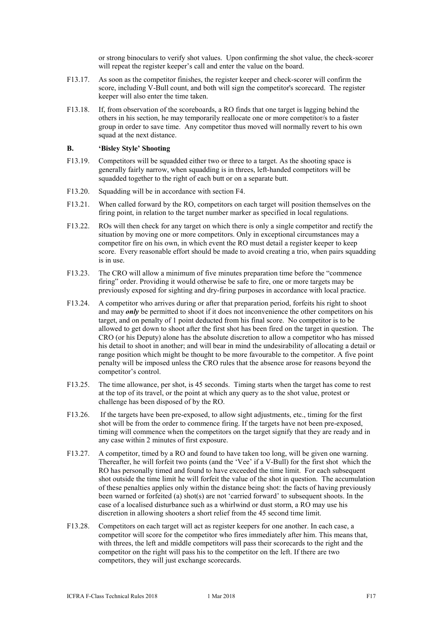or strong binoculars to verify shot values. Upon confirming the shot value, the check-scorer will repeat the register keeper's call and enter the value on the board.

- F13.17. As soon as the competitor finishes, the register keeper and check-scorer will confirm the score, including V-Bull count, and both will sign the competitor's scorecard. The register keeper will also enter the time taken.
- F13.18. If, from observation of the scoreboards, a RO finds that one target is lagging behind the others in his section, he may temporarily reallocate one or more competitor/s to a faster group in order to save time. Any competitor thus moved will normally revert to his own squad at the next distance.

#### **B. 'Bisley Style' Shooting**

- F13.19. Competitors will be squadded either two or three to a target. As the shooting space is generally fairly narrow, when squadding is in threes, left-handed competitors will be squadded together to the right of each butt or on a separate butt.
- F13.20. Squadding will be in accordance with section F4.
- F13.21. When called forward by the RO, competitors on each target will position themselves on the firing point, in relation to the target number marker as specified in local regulations.
- F13.22. ROs will then check for any target on which there is only a single competitor and rectify the situation by moving one or more competitors. Only in exceptional circumstances may a competitor fire on his own, in which event the RO must detail a register keeper to keep score. Every reasonable effort should be made to avoid creating a trio, when pairs squadding is in use.
- F13.23. The CRO will allow a minimum of five minutes preparation time before the "commence firing" order. Providing it would otherwise be safe to fire, one or more targets may be previously exposed for sighting and dry-firing purposes in accordance with local practice.
- F13.24. A competitor who arrives during or after that preparation period, forfeits his right to shoot and may *only* be permitted to shoot if it does not inconvenience the other competitors on his target, and on penalty of 1 point deducted from his final score. No competitor is to be allowed to get down to shoot after the first shot has been fired on the target in question. The CRO (or his Deputy) alone has the absolute discretion to allow a competitor who has missed his detail to shoot in another; and will bear in mind the undesirability of allocating a detail or range position which might be thought to be more favourable to the competitor. A five point penalty will be imposed unless the CRO rules that the absence arose for reasons beyond the competitor's control.
- F13.25. The time allowance, per shot, is 45 seconds. Timing starts when the target has come to rest at the top of its travel, or the point at which any query as to the shot value, protest or challenge has been disposed of by the RO.
- F13.26. If the targets have been pre-exposed, to allow sight adjustments, etc., timing for the first shot will be from the order to commence firing. If the targets have not been pre-exposed, timing will commence when the competitors on the target signify that they are ready and in any case within 2 minutes of first exposure.
- F13.27. A competitor, timed by a RO and found to have taken too long, will be given one warning. Thereafter, he will forfeit two points (and the 'Vee' if a V-Bull) for the first shot which the RO has personally timed and found to have exceeded the time limit. For each subsequent shot outside the time limit he will forfeit the value of the shot in question. The accumulation of these penalties applies only within the distance being shot: the facts of having previously been warned or forfeited (a) shot(s) are not 'carried forward' to subsequent shoots. In the case of a localised disturbance such as a whirlwind or dust storm, a RO may use his discretion in allowing shooters a short relief from the 45 second time limit.
- F13.28. Competitors on each target will act as register keepers for one another. In each case, a competitor will score for the competitor who fires immediately after him. This means that, with threes, the left and middle competitors will pass their scorecards to the right and the competitor on the right will pass his to the competitor on the left. If there are two competitors, they will just exchange scorecards.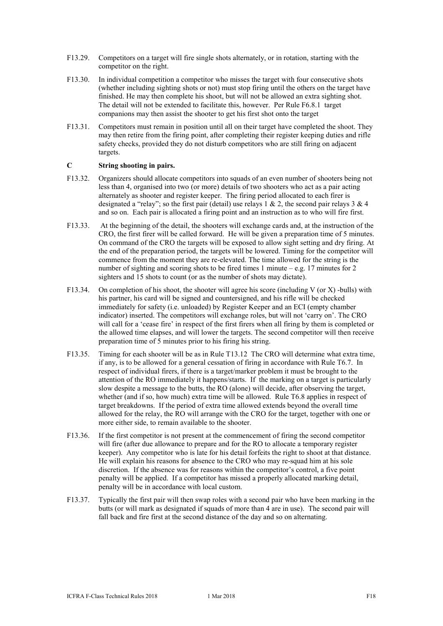- F13.29. Competitors on a target will fire single shots alternately, or in rotation, starting with the competitor on the right.
- F13.30. In individual competition a competitor who misses the target with four consecutive shots (whether including sighting shots or not) must stop firing until the others on the target have finished. He may then complete his shoot, but will not be allowed an extra sighting shot. The detail will not be extended to facilitate this, however. Per Rule F6.8.1 target companions may then assist the shooter to get his first shot onto the target
- F13.31. Competitors must remain in position until all on their target have completed the shoot. They may then retire from the firing point, after completing their register keeping duties and rifle safety checks, provided they do not disturb competitors who are still firing on adjacent targets.

#### **C String shooting in pairs.**

- F13.32. Organizers should allocate competitors into squads of an even number of shooters being not less than 4, organised into two (or more) details of two shooters who act as a pair acting alternately as shooter and register keeper. The firing period allocated to each firer is designated a "relay"; so the first pair (detail) use relays 1 & 2, the second pair relays 3 & 4 and so on. Each pair is allocated a firing point and an instruction as to who will fire first.
- F13.33. At the beginning of the detail, the shooters will exchange cards and, at the instruction of the CRO, the first firer will be called forward. He will be given a preparation time of 5 minutes. On command of the CRO the targets will be exposed to allow sight setting and dry firing. At the end of the preparation period, the targets will be lowered. Timing for the competitor will commence from the moment they are re-elevated. The time allowed for the string is the number of sighting and scoring shots to be fired times 1 minute – e.g. 17 minutes for 2 sighters and 15 shots to count (or as the number of shots may dictate).
- F13.34. On completion of his shoot, the shooter will agree his score (including V (or X) -bulls) with his partner, his card will be signed and countersigned, and his rifle will be checked immediately for safety (i.e. unloaded) by Register Keeper and an ECI (empty chamber indicator) inserted. The competitors will exchange roles, but will not 'carry on'. The CRO will call for a 'cease fire' in respect of the first firers when all firing by them is completed or the allowed time elapses, and will lower the targets. The second competitor will then receive preparation time of 5 minutes prior to his firing his string.
- F13.35. Timing for each shooter will be as in Rule T13.12 The CRO will determine what extra time, if any, is to be allowed for a general cessation of firing in accordance with Rule T6.7. In respect of individual firers, if there is a target/marker problem it must be brought to the attention of the RO immediately it happens/starts. If the marking on a target is particularly slow despite a message to the butts, the RO (alone) will decide, after observing the target, whether (and if so, how much) extra time will be allowed. Rule T6.8 applies in respect of target breakdowns. If the period of extra time allowed extends beyond the overall time allowed for the relay, the RO will arrange with the CRO for the target, together with one or more either side, to remain available to the shooter.
- F13.36. If the first competitor is not present at the commencement of firing the second competitor will fire (after due allowance to prepare and for the RO to allocate a temporary register keeper). Any competitor who is late for his detail forfeits the right to shoot at that distance. He will explain his reasons for absence to the CRO who may re-squad him at his sole discretion. If the absence was for reasons within the competitor's control, a five point penalty will be applied. If a competitor has missed a properly allocated marking detail, penalty will be in accordance with local custom.
- F13.37. Typically the first pair will then swap roles with a second pair who have been marking in the butts (or will mark as designated if squads of more than 4 are in use). The second pair will fall back and fire first at the second distance of the day and so on alternating.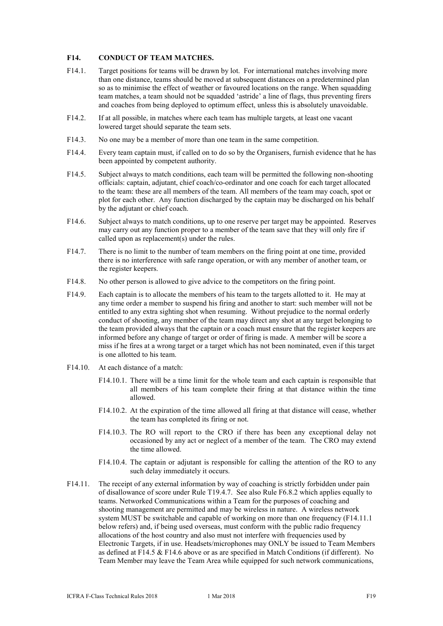#### **F14. CONDUCT OF TEAM MATCHES.**

- F14.1. Target positions for teams will be drawn by lot. For international matches involving more than one distance, teams should be moved at subsequent distances on a predetermined plan so as to minimise the effect of weather or favoured locations on the range. When squadding team matches, a team should not be squadded 'astride' a line of flags, thus preventing firers and coaches from being deployed to optimum effect, unless this is absolutely unavoidable.
- F14.2. If at all possible, in matches where each team has multiple targets, at least one vacant lowered target should separate the team sets.
- F14.3. No one may be a member of more than one team in the same competition.
- F14.4. Every team captain must, if called on to do so by the Organisers, furnish evidence that he has been appointed by competent authority.
- F14.5. Subject always to match conditions, each team will be permitted the following non-shooting officials: captain, adjutant, chief coach/co-ordinator and one coach for each target allocated to the team: these are all members of the team. All members of the team may coach, spot or plot for each other. Any function discharged by the captain may be discharged on his behalf by the adjutant or chief coach.
- F14.6. Subject always to match conditions, up to one reserve per target may be appointed. Reserves may carry out any function proper to a member of the team save that they will only fire if called upon as replacement(s) under the rules.
- F14.7. There is no limit to the number of team members on the firing point at one time, provided there is no interference with safe range operation, or with any member of another team, or the register keepers.
- F14.8. No other person is allowed to give advice to the competitors on the firing point.
- F14.9. Each captain is to allocate the members of his team to the targets allotted to it. He may at any time order a member to suspend his firing and another to start: such member will not be entitled to any extra sighting shot when resuming. Without prejudice to the normal orderly conduct of shooting, any member of the team may direct any shot at any target belonging to the team provided always that the captain or a coach must ensure that the register keepers are informed before any change of target or order of firing is made. A member will be score a miss if he fires at a wrong target or a target which has not been nominated, even if this target is one allotted to his team.
- F14.10. At each distance of a match:
	- F14.10.1. There will be a time limit for the whole team and each captain is responsible that all members of his team complete their firing at that distance within the time allowed.
	- F14.10.2. At the expiration of the time allowed all firing at that distance will cease, whether the team has completed its firing or not.
	- F14.10.3. The RO will report to the CRO if there has been any exceptional delay not occasioned by any act or neglect of a member of the team. The CRO may extend the time allowed.
	- F14.10.4. The captain or adjutant is responsible for calling the attention of the RO to any such delay immediately it occurs.
- F14.11. The receipt of any external information by way of coaching is strictly forbidden under pain of disallowance of score under Rule T19.4.7. See also Rule F6.8.2 which applies equally to teams. Networked Communications within a Team for the purposes of coaching and shooting management are permitted and may be wireless in nature. A wireless network system MUST be switchable and capable of working on more than one frequency (F14.11.1 below refers) and, if being used overseas, must conform with the public radio frequency allocations of the host country and also must not interfere with frequencies used by Electronic Targets, if in use. Headsets/microphones may ONLY be issued to Team Members as defined at F14.5 & F14.6 above or as are specified in Match Conditions (if different). No Team Member may leave the Team Area while equipped for such network communications,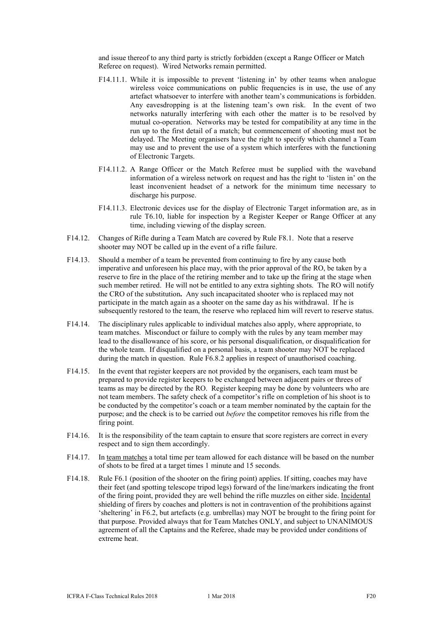and issue thereof to any third party is strictly forbidden (except a Range Officer or Match Referee on request). Wired Networks remain permitted.

- F14.11.1. While it is impossible to prevent 'listening in' by other teams when analogue wireless voice communications on public frequencies is in use, the use of any artefact whatsoever to interfere with another team's communications is forbidden. Any eavesdropping is at the listening team's own risk. In the event of two networks naturally interfering with each other the matter is to be resolved by mutual co-operation. Networks may be tested for compatibility at any time in the run up to the first detail of a match; but commencement of shooting must not be delayed. The Meeting organisers have the right to specify which channel a Team may use and to prevent the use of a system which interferes with the functioning of Electronic Targets.
- F14.11.2. A Range Officer or the Match Referee must be supplied with the waveband information of a wireless network on request and has the right to 'listen in' on the least inconvenient headset of a network for the minimum time necessary to discharge his purpose.
- F14.11.3. Electronic devices use for the display of Electronic Target information are, as in rule T6.10, liable for inspection by a Register Keeper or Range Officer at any time, including viewing of the display screen.
- F14.12. Changes of Rifle during a Team Match are covered by Rule F8.1. Note that a reserve shooter may NOT be called up in the event of a rifle failure.
- F14.13. Should a member of a team be prevented from continuing to fire by any cause both imperative and unforeseen his place may, with the prior approval of the RO, be taken by a reserve to fire in the place of the retiring member and to take up the firing at the stage when such member retired. He will not be entitled to any extra sighting shots. The RO will notify the CRO of the substitution**.** Any such incapacitated shooter who is replaced may not participate in the match again as a shooter on the same day as his withdrawal. If he is subsequently restored to the team, the reserve who replaced him will revert to reserve status.
- F14.14. The disciplinary rules applicable to individual matches also apply, where appropriate, to team matches. Misconduct or failure to comply with the rules by any team member may lead to the disallowance of his score, or his personal disqualification, or disqualification for the whole team. If disqualified on a personal basis, a team shooter may NOT be replaced during the match in question. Rule F6.8.2 applies in respect of unauthorised coaching.
- F14.15. In the event that register keepers are not provided by the organisers, each team must be prepared to provide register keepers to be exchanged between adjacent pairs or threes of teams as may be directed by the RO. Register keeping may be done by volunteers who are not team members. The safety check of a competitor's rifle on completion of his shoot is to be conducted by the competitor's coach or a team member nominated by the captain for the purpose; and the check is to be carried out *before* the competitor removes his rifle from the firing point.
- F14.16. It is the responsibility of the team captain to ensure that score registers are correct in every respect and to sign them accordingly.
- F14.17. In team matches a total time per team allowed for each distance will be based on the number of shots to be fired at a target times 1 minute and 15 seconds.
- F14.18. Rule F6.1 (position of the shooter on the firing point) applies. If sitting, coaches may have their feet (and spotting telescope tripod legs) forward of the line/markers indicating the front of the firing point, provided they are well behind the rifle muzzles on either side. Incidental shielding of firers by coaches and plotters is not in contravention of the prohibitions against 'sheltering' in F6.2, but artefacts (e.g. umbrellas) may NOT be brought to the firing point for that purpose. Provided always that for Team Matches ONLY, and subject to UNANIMOUS agreement of all the Captains and the Referee, shade may be provided under conditions of extreme heat.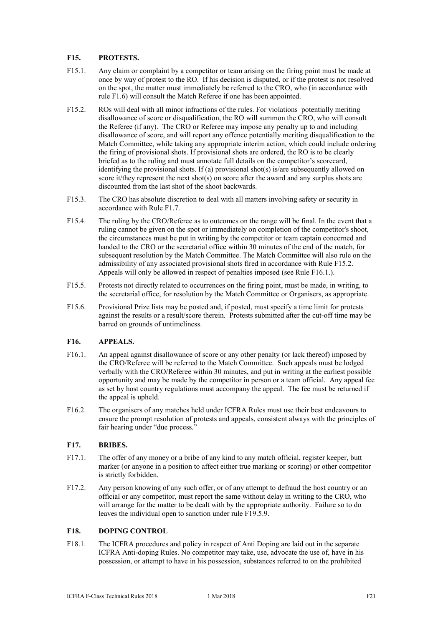#### **F15. PROTESTS.**

- F15.1. Any claim or complaint by a competitor or team arising on the firing point must be made at once by way of protest to the RO. If his decision is disputed, or if the protest is not resolved on the spot, the matter must immediately be referred to the CRO, who (in accordance with rule F1.6) will consult the Match Referee if one has been appointed.
- F15.2. ROs will deal with all minor infractions of the rules. For violations potentially meriting disallowance of score or disqualification, the RO will summon the CRO, who will consult the Referee (if any). The CRO or Referee may impose any penalty up to and including disallowance of score, and will report any offence potentially meriting disqualification to the Match Committee, while taking any appropriate interim action, which could include ordering the firing of provisional shots. If provisional shots are ordered, the RO is to be clearly briefed as to the ruling and must annotate full details on the competitor's scorecard, identifying the provisional shots. If (a) provisional shot(s) is/are subsequently allowed on score it/they represent the next shot(s) on score after the award and any surplus shots are discounted from the last shot of the shoot backwards.
- F15.3. The CRO has absolute discretion to deal with all matters involving safety or security in accordance with Rule F1.7.
- F15.4. The ruling by the CRO/Referee as to outcomes on the range will be final. In the event that a ruling cannot be given on the spot or immediately on completion of the competitor's shoot, the circumstances must be put in writing by the competitor or team captain concerned and handed to the CRO or the secretarial office within 30 minutes of the end of the match, for subsequent resolution by the Match Committee. The Match Committee will also rule on the admissibility of any associated provisional shots fired in accordance with Rule F15.2. Appeals will only be allowed in respect of penalties imposed (see Rule F16.1.).
- F15.5. Protests not directly related to occurrences on the firing point, must be made, in writing, to the secretarial office, for resolution by the Match Committee or Organisers, as appropriate.
- F15.6. Provisional Prize lists may be posted and, if posted, must specify a time limit for protests against the results or a result/score therein. Protests submitted after the cut-off time may be barred on grounds of untimeliness.

#### **F16. APPEALS.**

- F16.1. An appeal against disallowance of score or any other penalty (or lack thereof) imposed by the CRO/Referee will be referred to the Match Committee. Such appeals must be lodged verbally with the CRO/Referee within 30 minutes, and put in writing at the earliest possible opportunity and may be made by the competitor in person or a team official. Any appeal fee as set by host country regulations must accompany the appeal. The fee must be returned if the appeal is upheld.
- F16.2. The organisers of any matches held under ICFRA Rules must use their best endeavours to ensure the prompt resolution of protests and appeals, consistent always with the principles of fair hearing under "due process."

#### **F17. BRIBES.**

- F17.1. The offer of any money or a bribe of any kind to any match official, register keeper, butt marker (or anyone in a position to affect either true marking or scoring) or other competitor is strictly forbidden.
- F17.2. Any person knowing of any such offer, or of any attempt to defraud the host country or an official or any competitor, must report the same without delay in writing to the CRO, who will arrange for the matter to be dealt with by the appropriate authority. Failure so to do leaves the individual open to sanction under rule F19.5.9.

#### **F18. DOPING CONTROL**

F18.1. The ICFRA procedures and policy in respect of Anti Doping are laid out in the separate ICFRA Anti-doping Rules. No competitor may take, use, advocate the use of, have in his possession, or attempt to have in his possession, substances referred to on the prohibited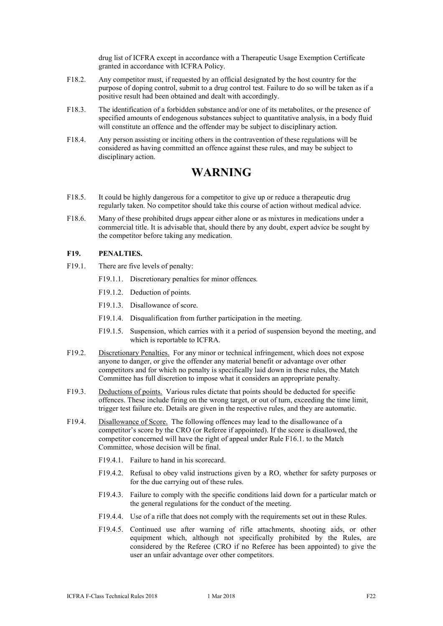drug list of ICFRA except in accordance with a Therapeutic Usage Exemption Certificate granted in accordance with ICFRA Policy.

- F18.2. Any competitor must, if requested by an official designated by the host country for the purpose of doping control, submit to a drug control test. Failure to do so will be taken as if a positive result had been obtained and dealt with accordingly.
- F18.3. The identification of a forbidden substance and/or one of its metabolites, or the presence of specified amounts of endogenous substances subject to quantitative analysis, in a body fluid will constitute an offence and the offender may be subject to disciplinary action.
- F18.4. Any person assisting or inciting others in the contravention of these regulations will be considered as having committed an offence against these rules, and may be subject to disciplinary action.

### **WARNING**

- F18.5. It could be highly dangerous for a competitor to give up or reduce a therapeutic drug regularly taken. No competitor should take this course of action without medical advice.
- F18.6. Many of these prohibited drugs appear either alone or as mixtures in medications under a commercial title. It is advisable that, should there by any doubt, expert advice be sought by the competitor before taking any medication.

#### **F19. PENALTIES.**

- F19.1. There are five levels of penalty:
	- F19.1.1. Discretionary penalties for minor offences.
	- F19.1.2. Deduction of points.
	- F19.1.3. Disallowance of score.
	- F19.1.4. Disqualification from further participation in the meeting.
	- F19.1.5. Suspension, which carries with it a period of suspension beyond the meeting, and which is reportable to ICFRA.
- F19.2. Discretionary Penalties. For any minor or technical infringement, which does not expose anyone to danger, or give the offender any material benefit or advantage over other competitors and for which no penalty is specifically laid down in these rules, the Match Committee has full discretion to impose what it considers an appropriate penalty.
- F19.3. Deductions of points. Various rules dictate that points should be deducted for specific offences. These include firing on the wrong target, or out of turn, exceeding the time limit, trigger test failure etc. Details are given in the respective rules, and they are automatic.
- F19.4. Disallowance of Score. The following offences may lead to the disallowance of a competitor's score by the CRO (or Referee if appointed). If the score is disallowed, the competitor concerned will have the right of appeal under Rule F16.1. to the Match Committee, whose decision will be final.
	- F19.4.1. Failure to hand in his scorecard.
	- F19.4.2. Refusal to obey valid instructions given by a RO, whether for safety purposes or for the due carrying out of these rules.
	- F19.4.3. Failure to comply with the specific conditions laid down for a particular match or the general regulations for the conduct of the meeting.
	- F19.4.4. Use of a rifle that does not comply with the requirements set out in these Rules.
	- F19.4.5. Continued use after warning of rifle attachments, shooting aids, or other equipment which, although not specifically prohibited by the Rules, are considered by the Referee (CRO if no Referee has been appointed) to give the user an unfair advantage over other competitors.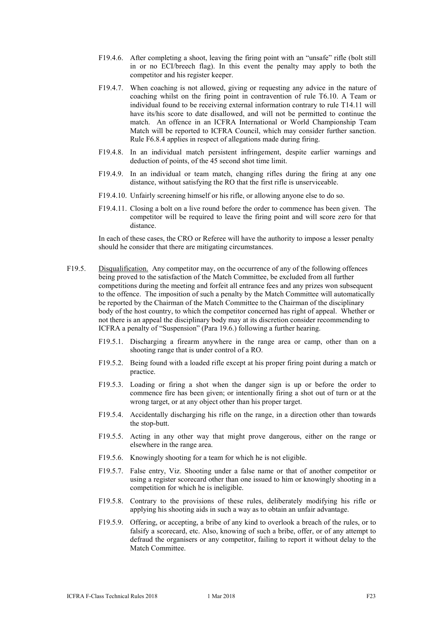- F19.4.6. After completing a shoot, leaving the firing point with an "unsafe" rifle (bolt still in or no ECI/breech flag). In this event the penalty may apply to both the competitor and his register keeper.
- F19.4.7. When coaching is not allowed, giving or requesting any advice in the nature of coaching whilst on the firing point in contravention of rule T6.10. A Team or individual found to be receiving external information contrary to rule T14.11 will have its/his score to date disallowed, and will not be permitted to continue the match. An offence in an ICFRA International or World Championship Team Match will be reported to ICFRA Council, which may consider further sanction. Rule F6.8.4 applies in respect of allegations made during firing.
- F19.4.8. In an individual match persistent infringement, despite earlier warnings and deduction of points, of the 45 second shot time limit.
- F19.4.9. In an individual or team match, changing rifles during the firing at any one distance, without satisfying the RO that the first rifle is unserviceable.
- F19.4.10. Unfairly screening himself or his rifle, or allowing anyone else to do so.
- F19.4.11. Closing a bolt on a live round before the order to commence has been given. The competitor will be required to leave the firing point and will score zero for that distance.

In each of these cases, the CRO or Referee will have the authority to impose a lesser penalty should he consider that there are mitigating circumstances.

- F19.5. Disqualification. Any competitor may, on the occurrence of any of the following offences being proved to the satisfaction of the Match Committee, be excluded from all further competitions during the meeting and forfeit all entrance fees and any prizes won subsequent to the offence. The imposition of such a penalty by the Match Committee will automatically be reported by the Chairman of the Match Committee to the Chairman of the disciplinary body of the host country, to which the competitor concerned has right of appeal. Whether or not there is an appeal the disciplinary body may at its discretion consider recommending to ICFRA a penalty of "Suspension" (Para 19.6.) following a further hearing.
	- F19.5.1. Discharging a firearm anywhere in the range area or camp, other than on a shooting range that is under control of a RO.
	- F19.5.2. Being found with a loaded rifle except at his proper firing point during a match or practice.
	- F19.5.3. Loading or firing a shot when the danger sign is up or before the order to commence fire has been given; or intentionally firing a shot out of turn or at the wrong target, or at any object other than his proper target.
	- F19.5.4. Accidentally discharging his rifle on the range, in a direction other than towards the stop-butt.
	- F19.5.5. Acting in any other way that might prove dangerous, either on the range or elsewhere in the range area.
	- F19.5.6. Knowingly shooting for a team for which he is not eligible.
	- F19.5.7. False entry, Viz. Shooting under a false name or that of another competitor or using a register scorecard other than one issued to him or knowingly shooting in a competition for which he is ineligible.
	- F19.5.8. Contrary to the provisions of these rules, deliberately modifying his rifle or applying his shooting aids in such a way as to obtain an unfair advantage.
	- F19.5.9. Offering, or accepting, a bribe of any kind to overlook a breach of the rules, or to falsify a scorecard, etc. Also, knowing of such a bribe, offer, or of any attempt to defraud the organisers or any competitor, failing to report it without delay to the Match Committee.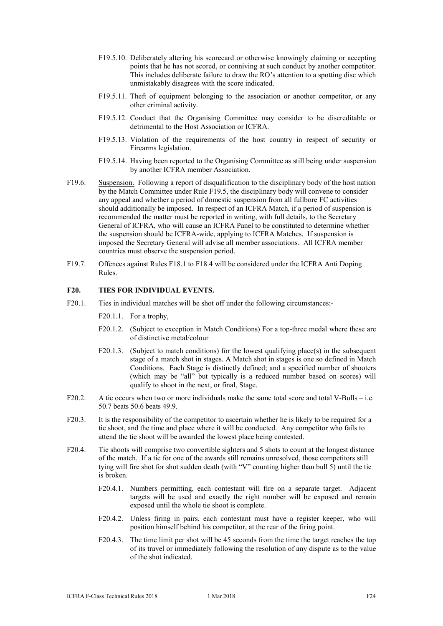- F19.5.10. Deliberately altering his scorecard or otherwise knowingly claiming or accepting points that he has not scored, or conniving at such conduct by another competitor. This includes deliberate failure to draw the RO's attention to a spotting disc which unmistakably disagrees with the score indicated.
- F19.5.11. The ft of equipment belonging to the association or another competitor, or any other criminal activity.
- F19.5.12. Conduct that the Organising Committee may consider to be discreditable or detrimental to the Host Association or ICFRA.
- F19.5.13. Violation of the requirements of the host country in respect of security or Firearms legislation.
- F19.5.14. Having been reported to the Organising Committee as still being under suspension by another ICFRA member Association.
- F19.6. Suspension. Following a report of disqualification to the disciplinary body of the host nation by the Match Committee under Rule F19.5, the disciplinary body will convene to consider any appeal and whether a period of domestic suspension from all fullbore FC activities should additionally be imposed. In respect of an ICFRA Match, if a period of suspension is recommended the matter must be reported in writing, with full details, to the Secretary General of ICFRA, who will cause an ICFRA Panel to be constituted to determine whether the suspension should be ICFRA-wide, applying to ICFRA Matches. If suspension is imposed the Secretary General will advise all member associations. All ICFRA member countries must observe the suspension period.
- F19.7. Offences against Rules F18.1 to F18.4 will be considered under the ICFRA Anti Doping Rules.

#### **F20. TIES FOR INDIVIDUAL EVENTS.**

- F20.1. Ties in individual matches will be shot off under the following circumstances:-
	- F20.1.1. For a trophy,
	- F20.1.2. (Subject to exception in Match Conditions) For a top-three medal where these are of distinctive metal/colour
	- F20.1.3. (Subject to match conditions) for the lowest qualifying place(s) in the subsequent stage of a match shot in stages. A Match shot in stages is one so defined in Match Conditions. Each Stage is distinctly defined; and a specified number of shooters (which may be "all" but typically is a reduced number based on scores) will qualify to shoot in the next, or final, Stage.
- F20.2. A tie occurs when two or more individuals make the same total score and total V-Bulls i.e. 50.7 beats 50.6 beats 49.9.
- F20.3. It is the responsibility of the competitor to ascertain whether he is likely to be required for a tie shoot, and the time and place where it will be conducted. Any competitor who fails to attend the tie shoot will be awarded the lowest place being contested.
- F20.4. Tie shoots will comprise two convertible sighters and 5 shots to count at the longest distance of the match. If a tie for one of the awards still remains unresolved, those competitors still tying will fire shot for shot sudden death (with "V" counting higher than bull 5) until the tie is broken.
	- F20.4.1. Numbers permitting, each contestant will fire on a separate target. Adjacent targets will be used and exactly the right number will be exposed and remain exposed until the whole tie shoot is complete.
	- F20.4.2. Unless firing in pairs, each contestant must have a register keeper, who will position himself behind his competitor, at the rear of the firing point.
	- F20.4.3. The time limit per shot will be 45 seconds from the time the target reaches the top of its travel or immediately following the resolution of any dispute as to the value of the shot indicated.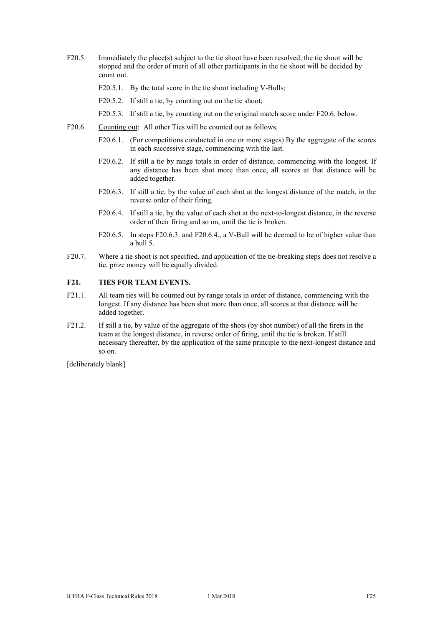- F20.5. Immediately the place(s) subject to the tie shoot have been resolved, the tie shoot will be stopped and the order of merit of all other participants in the tie shoot will be decided by count out.
	- F20.5.1. By the total score in the tie shoot including V-Bulls;
	- F20.5.2. If still a tie, by counting out on the tie shoot;
	- F20.5.3. If still a tie, by counting out on the original match score under F20.6. below.
- F20.6. Counting out: All other Ties will be counted out as follows.
	- F20.6.1. (For competitions conducted in one or more stages) By the aggregate of the scores in each successive stage, commencing with the last.
	- F20.6.2. If still a tie by range totals in order of distance, commencing with the longest. If any distance has been shot more than once, all scores at that distance will be added together.
	- F20.6.3. If still a tie, by the value of each shot at the longest distance of the match, in the reverse order of their firing.
	- F20.6.4. If still a tie, by the value of each shot at the next-to-longest distance, in the reverse order of their firing and so on, until the tie is broken.
	- F20.6.5. In steps F20.6.3. and F20.6.4., a V-Bull will be deemed to be of higher value than a bull 5.
- F20.7. Where a tie shoot is not specified, and application of the tie-breaking steps does not resolve a tie, prize money will be equally divided.

#### **F21. TIES FOR TEAM EVENTS.**

- F21.1. All team ties will be counted out by range totals in order of distance, commencing with the longest. If any distance has been shot more than once, all scores at that distance will be added together.
- F21.2. If still a tie, by value of the aggregate of the shots (by shot number) of all the firers in the team at the longest distance, in reverse order of firing, until the tie is broken. If still necessary thereafter, by the application of the same principle to the next-longest distance and so on.

[deliberately blank]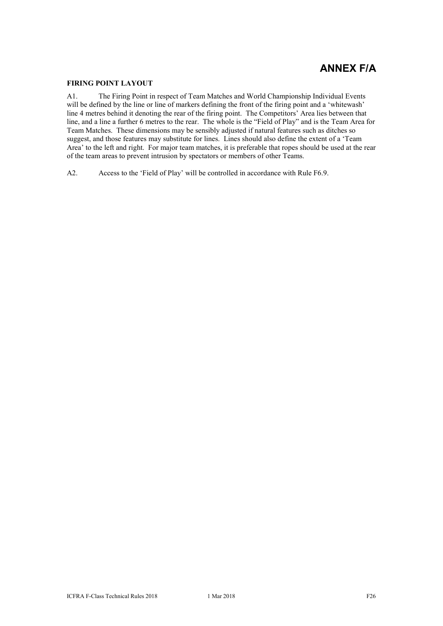## **ANNEX F/A**

#### **FIRING POINT LAYOUT**

A1. The Firing Point in respect of Team Matches and World Championship Individual Events will be defined by the line or line of markers defining the front of the firing point and a 'whitewash' line 4 metres behind it denoting the rear of the firing point. The Competitors' Area lies between that line, and a line a further 6 metres to the rear. The whole is the "Field of Play" and is the Team Area for Team Matches. These dimensions may be sensibly adjusted if natural features such as ditches so suggest, and those features may substitute for lines. Lines should also define the extent of a 'Team Area' to the left and right. For major team matches, it is preferable that ropes should be used at the rear of the team areas to prevent intrusion by spectators or members of other Teams.

A2. Access to the 'Field of Play' will be controlled in accordance with Rule F6.9.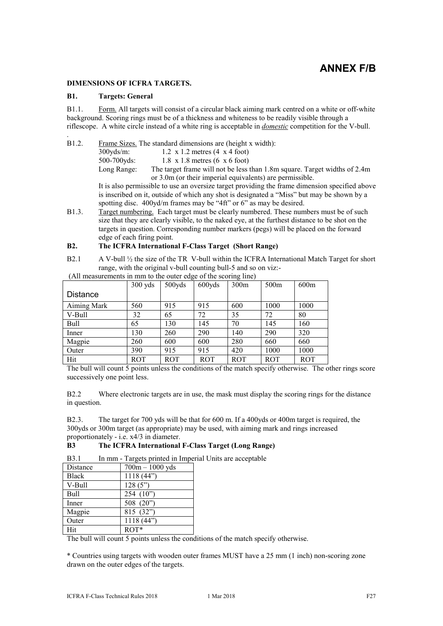### **ANNEX F/B**

#### **DIMENSIONS OF ICFRA TARGETS.**

#### **B1. Targets: General**

.

B1.1. Form. All targets will consist of a circular black aiming mark centred on a white or off-white background. Scoring rings must be of a thickness and whiteness to be readily visible through a riflescope. A white circle instead of a white ring is acceptable in *domestic* competition for the V-bull.

- B1.2. Frame Sizes. The standard dimensions are (height x width):
	- 300yds/m: 1.2 x 1.2 metres (4 x 4 foot)

500-700yds: 1.8 x 1.8 metres (6 x 6 foot)

Long Range: The target frame will not be less than 1.8m square. Target widths of 2.4m or 3.0m (or their imperial equivalents) are permissible.

It is also permissible to use an oversize target providing the frame dimension specified above is inscribed on it, outside of which any shot is designated a "Miss" but may be shown by a spotting disc. 400yd/m frames may be "4ft" or 6" as may be desired.

B1.3. Target numbering. Each target must be clearly numbered. These numbers must be of such size that they are clearly visible, to the naked eye, at the furthest distance to be shot on the targets in question. Corresponding number markers (pegs) will be placed on the forward edge of each firing point.

#### **B2. The ICFRA International F-Class Target (Short Range)**

B2.1 A V-bull ½ the size of the TR V-bull within the ICFRA International Match Target for short range, with the original v-bull counting bull-5 and so on viz:-

| An incasurements in min to the outer edge of the scoring line) |           |        |        |                  |      |      |
|----------------------------------------------------------------|-----------|--------|--------|------------------|------|------|
|                                                                | $300$ yds | 500yds | 600yds | 300 <sub>m</sub> | 500m | 600m |
| <b>Distance</b>                                                |           |        |        |                  |      |      |
| Aiming Mark                                                    | 560       | 915    | 915    | 600              | 1000 | 1000 |
| V-Bull                                                         | 32        | 65     | 72     | 35               | 72   | 80   |
| Bull                                                           | 65        | 130    | 145    | 70               | 145  | 160  |
| Inner                                                          | 130       | 260    | 290    | 140              | 290  | 320  |
| Magpie                                                         | 260       | 600    | 600    | 280              | 660  | 660  |
| Outer                                                          | 390       | 915    | 915    | 420              | 1000 | 1000 |

Hit | ROT | ROT | ROT | ROT | ROT | ROT

(All measurements in mm to the outer edge of the scoring line)

The bull will count 5 points unless the conditions of the match specify otherwise. The other rings score successively one point less.

B2.2 Where electronic targets are in use, the mask must display the scoring rings for the distance in question.

B2.3. The target for 700 yds will be that for 600 m. If a 400yds or 400m target is required, the 300yds or 300m target (as appropriate) may be used, with aiming mark and rings increased proportionately - i.e. x4/3 in diameter.

#### **B3 The ICFRA International F-Class Target (Long Range)**

B3.1 In mm - Targets printed in Imperial Units are acceptable

| Distance     | $700m - 1000$ yds |
|--------------|-------------------|
| <b>Black</b> | 1118(44")         |
| V-Bull       | 128(5")           |
| Bull         | 254 $(10")$       |
| Inner        | 508 (20")         |
| Magpie       | 815 (32")         |
| Outer        | 1118(44")         |
| Hit          | $ROT*$            |

The bull will count 5 points unless the conditions of the match specify otherwise.

\* Countries using targets with wooden outer frames MUST have a 25 mm (1 inch) non-scoring zone drawn on the outer edges of the targets.